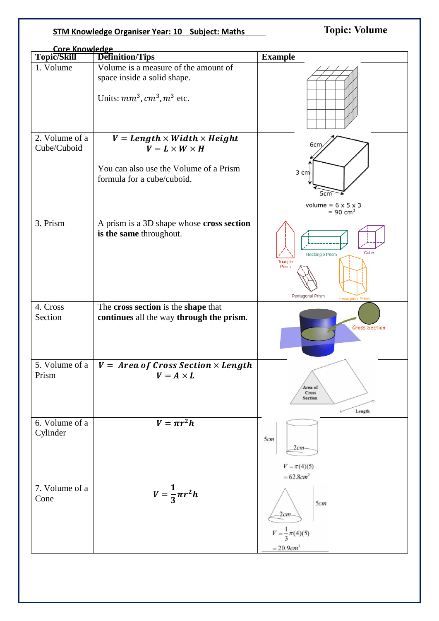## **STM Knowledge Organiser Year: 10 Subject: Maths**

**Topic: Volume** 

|                            | <b>Core Knowledge</b>                                                                                      |                                                                                                   |  |
|----------------------------|------------------------------------------------------------------------------------------------------------|---------------------------------------------------------------------------------------------------|--|
| Topic/Skill                | <b>Definition/Tips</b>                                                                                     | <b>Example</b>                                                                                    |  |
| 1. Volume                  | Volume is a measure of the amount of<br>space inside a solid shape.<br>Units: $mm^3$ , $cm^3$ , $m^3$ etc. |                                                                                                   |  |
| 2. Volume of a             | $V = Length \times Width \times Height$                                                                    |                                                                                                   |  |
| Cube/Cuboid                | $V = L \times W \times H$<br>You can also use the Volume of a Prism<br>formula for a cube/cuboid.          | 6cm<br>3 cm<br>5 <sub>cm</sub>                                                                    |  |
|                            |                                                                                                            | volume = $6 \times 5 \times 3$<br>$= 90$ cm <sup>3</sup>                                          |  |
| 3. Prism                   | A prism is a 3D shape whose cross section<br>is the same throughout.                                       | Cube<br><b>Rectangle Prism</b><br>Triangle<br>Prism<br>Pentagonal Prism<br><b>Hexagonal Prism</b> |  |
| 4. Cross<br>Section        | The cross section is the shape that<br>continues all the way through the prism.                            | Cross Section                                                                                     |  |
| 5. Volume of a<br>Prism    | $V = Area of Cross Section \times Length$<br>$V = A \times L$                                              | Area of<br><b>Cross</b><br><b>Section</b><br>Length                                               |  |
| 6. Volume of a<br>Cylinder | $V = \pi r^2 h$                                                                                            | 5cm<br>2cm<br>$V = \pi(4)(5)$<br>$= 62.8 cm3$                                                     |  |
| 7. Volume of a<br>Cone     | $V=\frac{1}{3}\pi r^2h$                                                                                    | 5cm<br>$-2cm$<br>$V = \frac{1}{3}\pi(4)(5)$<br>$= 20.9 cm3$                                       |  |